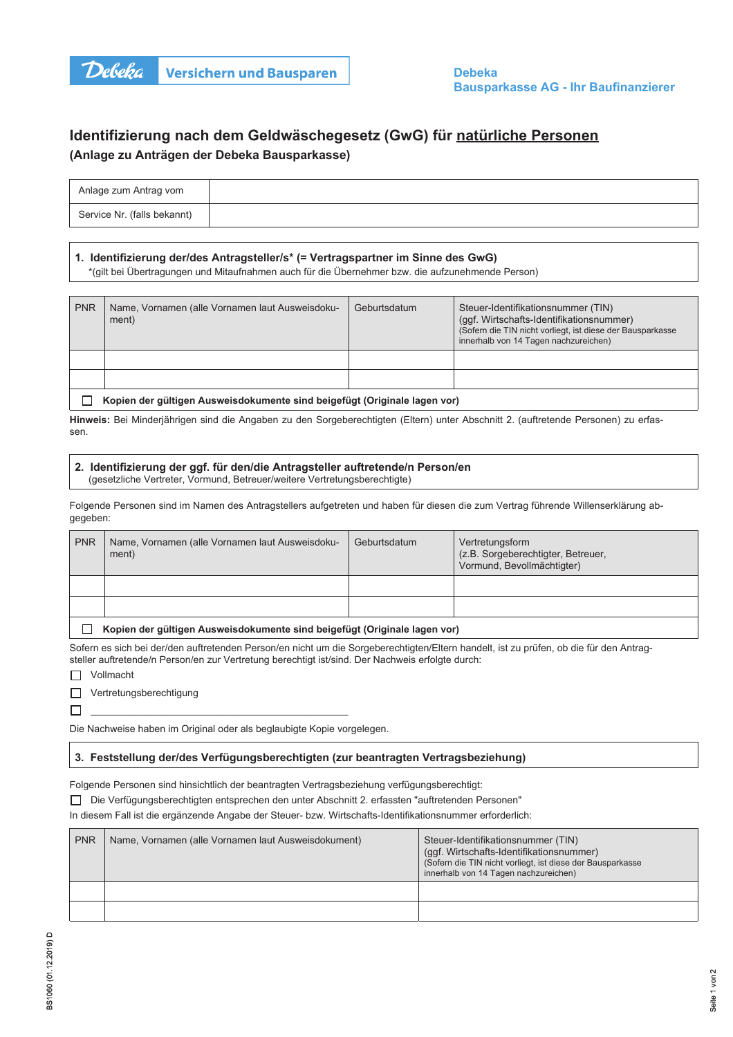

# Identifizierung nach dem Geldwäschegesetz (GwG) für natürliche Personen (Anlage zu Anträgen der Debeka Bausparkasse)

| Anlage zum Antrag vom       |  |
|-----------------------------|--|
| Service Nr. (falls bekannt) |  |

# 1. Identifizierung der/des Antragsteller/s\* (= Vertragspartner im Sinne des GwG)

\*(gilt bei Übertragungen und Mitaufnahmen auch für die Übernehmer bzw. die aufzunehmende Person)

| <b>PNR</b>                                                                | Name, Vornamen (alle Vornamen laut Ausweisdoku-<br>ment) | Geburtsdatum | Steuer-Identifikationsnummer (TIN)<br>(ggf. Wirtschafts-Identifikationsnummer)<br>(Sofern die TIN nicht vorliegt, ist diese der Bausparkasse<br>innerhalb von 14 Tagen nachzureichen) |  |  |
|---------------------------------------------------------------------------|----------------------------------------------------------|--------------|---------------------------------------------------------------------------------------------------------------------------------------------------------------------------------------|--|--|
|                                                                           |                                                          |              |                                                                                                                                                                                       |  |  |
|                                                                           |                                                          |              |                                                                                                                                                                                       |  |  |
| Kopien der gültigen Ausweisdokumente sind beigefügt (Originale lagen vor) |                                                          |              |                                                                                                                                                                                       |  |  |

Hinweis: Bei Minderjährigen sind die Angaben zu den Sorgeberechtigten (Eltern) unter Abschnitt 2. (auftretende Personen) zu erfassen.

#### 2. Identifizierung der ggf. für den/die Antragsteller auftretende/n Person/en

(gesetzliche Vertreter, Vormund, Betreuer/weitere Vertretungsberechtigte)

Folgende Personen sind im Namen des Antragstellers aufgetreten und haben für diesen die zum Vertrag führende Willenserklärung abgegeben:

| <b>PNR</b> | Name, Vornamen (alle Vornamen laut Ausweisdoku-<br>ment)                  | Geburtsdatum | Vertretungsform<br>(z.B. Sorgeberechtigter, Betreuer,<br>Vormund, Bevollmächtigter) |  |  |  |
|------------|---------------------------------------------------------------------------|--------------|-------------------------------------------------------------------------------------|--|--|--|
|            |                                                                           |              |                                                                                     |  |  |  |
|            |                                                                           |              |                                                                                     |  |  |  |
|            | Kopien der gültigen Ausweisdokumente sind beigefügt (Originale lagen vor) |              |                                                                                     |  |  |  |

Sofern es sich bei der/den auftretenden Person/en nicht um die Sorgeberechtigten/Eltern handelt, ist zu prüfen, ob die für den Antragsteller auftretende/n Person/en zur Vertretung berechtigt ist/sind. Der Nachweis erfolgte durch:

| Vollmacht |
|-----------|
|-----------|

Vertretungsberechtigung

Die Nachweise haben im Original oder als beglaubigte Kopie vorgelegen.

## 3. Feststellung der/des Verfügungsberechtigten (zur beantragten Vertragsbeziehung)

Folgende Personen sind hinsichtlich der beantragten Vertragsbeziehung verfügungsberechtigt:

□ Die Verfügungsberechtigten entsprechen den unter Abschnitt 2. erfassten "auftretenden Personen"

In diesem Fall ist die ergänzende Angabe der Steuer- bzw. Wirtschafts-Identifikationsnummer erforderlich:

| <b>PNR</b> | Name, Vornamen (alle Vornamen laut Ausweisdokument) | Steuer-Identifikationsnummer (TIN)<br>(ggf. Wirtschafts-Identifikationsnummer)<br>(Sofern die TIN nicht vorliegt, ist diese der Bausparkasse<br>innerhalb von 14 Tagen nachzureichen) |
|------------|-----------------------------------------------------|---------------------------------------------------------------------------------------------------------------------------------------------------------------------------------------|
|            |                                                     |                                                                                                                                                                                       |
|            |                                                     |                                                                                                                                                                                       |